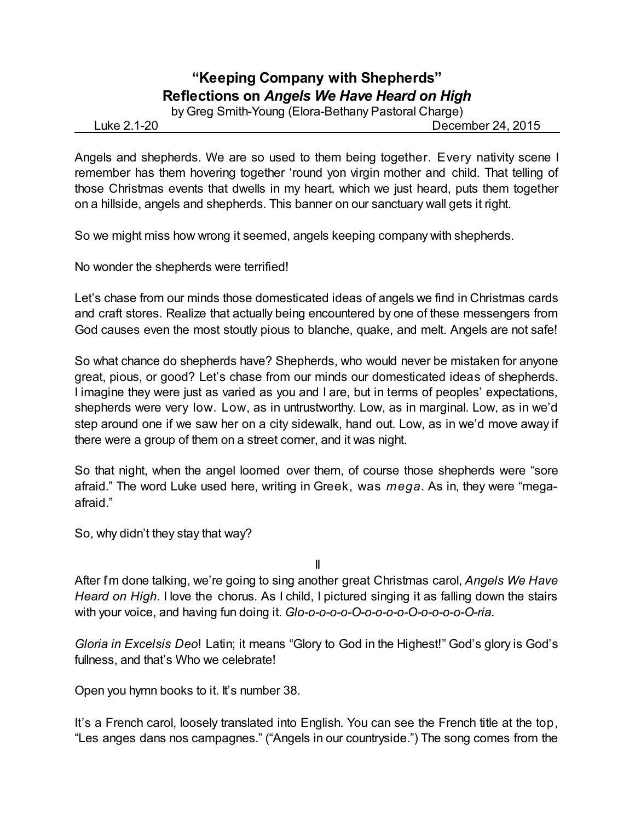## **"Keeping Company with Shepherds" Reflections on** *Angels We Have Heard on High*

by Greg Smith-Young (Elora-Bethany Pastoral Charge)

Luke 2.1-20 December 24, 2015

Angels and shepherds. We are so used to them being together. Every nativity scene I remember has them hovering together 'round yon virgin mother and child. That telling of those Christmas events that dwells in my heart, which we just heard, puts them together on a hillside, angels and shepherds. This banner on our sanctuary wall gets it right.

So we might miss how wrong it seemed, angels keeping company with shepherds.

No wonder the shepherds were terrified!

Let's chase from our minds those domesticated ideas of angels we find in Christmas cards and craft stores. Realize that actually being encountered by one of these messengers from God causes even the most stoutly pious to blanche, quake, and melt. Angels are not safe!

So what chance do shepherds have? Shepherds, who would never be mistaken for anyone great, pious, or good? Let's chase from our minds our domesticated ideas of shepherds. I imagine they were just as varied as you and I are, but in terms of peoples' expectations, shepherds were very low. Low, as in untrustworthy. Low, as in marginal. Low, as in we'd step around one if we saw her on a city sidewalk, hand out. Low, as in we'd move away if there were a group of them on a street corner, and it was night.

So that night, when the angel loomed over them, of course those shepherds were "sore afraid." The word Luke used here, writing in Greek, was *mega*. As in, they were "megaafraid."

So, why didn't they stay that way?

II

After I'm done talking, we're going to sing another great Christmas carol, *Angels We Have Heard on High*. I love the chorus. As I child, I pictured singing it as falling down the stairs with your voice, and having fun doing it. *Glo-o-o-o-o-O-o-o-o-o-O-o-o-o-o-O-ria.*

*Gloria in Excelsis Deo*! Latin; it means "Glory to God in the Highest!" God's glory is God's fullness, and that's Who we celebrate!

Open you hymn books to it. It's number 38.

It's a French carol, loosely translated into English. You can see the French title at the top, "Les anges dans nos campagnes." ("Angels in our countryside.") The song comes from the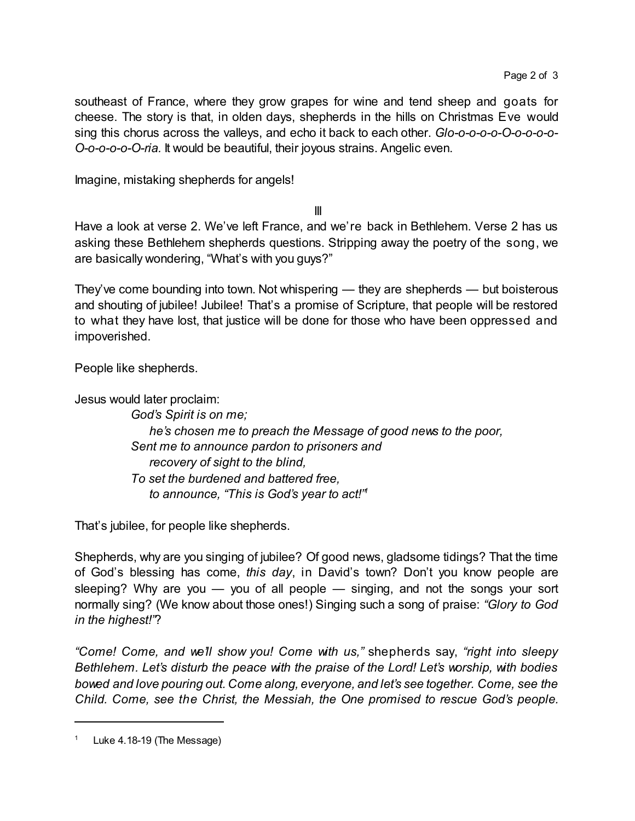southeast of France, where they grow grapes for wine and tend sheep and goats for cheese. The story is that, in olden days, shepherds in the hills on Christmas Eve would sing this chorus across the valleys, and echo it back to each other. *Glo-o-o-o-o-O-o-o-o-o-O-o-o-o-o-O-ria.* It would be beautiful, their joyous strains. Angelic even.

Imagine, mistaking shepherds for angels!

III

Have a look at verse 2. We've left France, and we're back in Bethlehem. Verse 2 has us asking these Bethlehem shepherds questions. Stripping away the poetry of the song, we are basically wondering, "What's with you guys?"

They've come bounding into town. Not whispering — they are shepherds — but boisterous and shouting of jubilee! Jubilee! That's a promise of Scripture, that people will be restored to what they have lost, that justice will be done for those who have been oppressed and impoverished.

People like shepherds.

Jesus would later proclaim:

*God's Spirit is on me; he's chosen me to preach the Message of good news to the poor, Sent me to announce pardon to prisoners and recovery of sight to the blind, To set the burdened and battered free, to announce, "This is God's year to act!" 1*

That's jubilee, for people like shepherds.

Shepherds, why are you singing of jubilee? Of good news, gladsome tidings? That the time of God's blessing has come, *this day*, in David's town? Don't you know people are sleeping? Why are you  $-$  you of all people  $-$  singing, and not the songs your sort normally sing? (We know about those ones!) Singing such a song of praise: *"Glory to God in the highest!"*?

*"Come! Come, and we'll show you! Come with us,"* shepherds say, *"right into sleepy Bethlehem. Let's disturb the peace with the praise of the Lord! Let's worship, with bodies bowed and love pouring out. Come along, everyone, and let's see together. Come, see the Child. Come, see the Christ, the Messiah, the One promised to rescue God's people.*

Luke 4.18-19 (The Message)